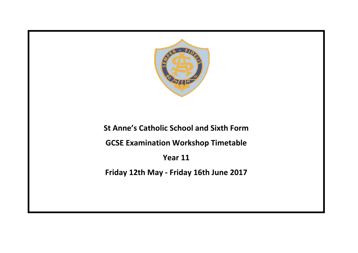

**St Anne's Catholic School and Sixth Form**

**GCSE Examination Workshop Timetable**

**Year 11**

**Friday 12th May - Friday 16th June 2017**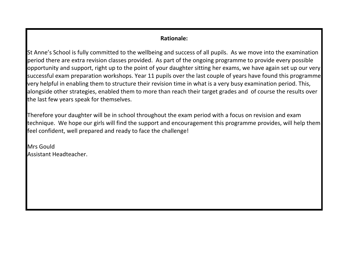## **Rationale:**

St Anne's School is fully committed to the wellbeing and success of all pupils. As we move into the examination period there are extra revision classes provided. As part of the ongoing programme to provide every possible opportunity and support, right up to the point of your daughter sitting her exams, we have again set up our very successful exam preparation workshops. Year 11 pupils over the last couple of years have found this programme very helpful in enabling them to structure their revision time in what is a very busy examination period. This, alongside other strategies, enabled them to more than reach their target grades and of course the results over the last few years speak for themselves.

Therefore your daughter will be in school throughout the exam period with a focus on revision and exam technique. We hope our girls will find the support and encouragement this programme provides, will help them feel confident, well prepared and ready to face the challenge!

Mrs Gould Assistant Headteacher.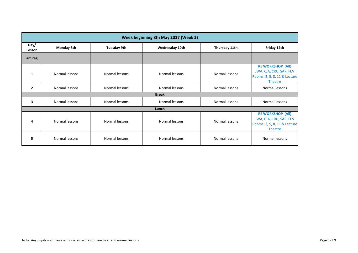| Week beginning 8th May 2017 (Week 2) |                   |                    |                |                |                                                                                                       |  |
|--------------------------------------|-------------------|--------------------|----------------|----------------|-------------------------------------------------------------------------------------------------------|--|
| Day/<br>Lesson                       | <b>Monday 8th</b> | <b>Tuesday 9th</b> | Wednesday 10th | Thursday 11th  | Friday 12th                                                                                           |  |
| am reg                               |                   |                    |                |                |                                                                                                       |  |
| 1                                    | Normal lessons    | Normal lessons     | Normal lessons | Normal lessons | <b>RE WORKSHOP (All)</b><br>JWA, CJA, CRU, SAR, FEV<br>Rooms: 2, 5, 8, 11 & Lecture<br>Theatre        |  |
| $\overline{2}$                       | Normal lessons    | Normal lessons     | Normal lessons | Normal lessons | Normal lessons                                                                                        |  |
|                                      |                   |                    | <b>Break</b>   |                |                                                                                                       |  |
| 3                                    | Normal lessons    | Normal lessons     | Normal lessons | Normal lessons | Normal lessons                                                                                        |  |
|                                      |                   |                    | Lunch          |                |                                                                                                       |  |
| 4                                    | Normal lessons    | Normal lessons     | Normal lessons | Normal lessons | <b>RE WORKSHOP (All)</b><br>JWA, CJA, CRU, SAR, FEV<br>Rooms: 2, 5, 8, 11 & Lecture<br><b>Theatre</b> |  |
| 5                                    | Normal lessons    | Normal lessons     | Normal lessons | Normal lessons | Normal lessons                                                                                        |  |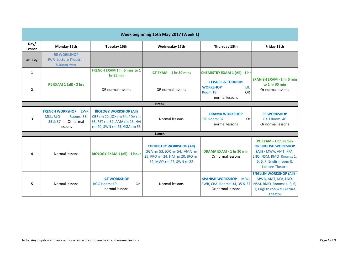| Week beginning 15th May 2017 (Week 1) |                                                                                             |                                                                                                                               |                                                                                                                                 |                                                                                                          |                                                                                                                                                               |  |
|---------------------------------------|---------------------------------------------------------------------------------------------|-------------------------------------------------------------------------------------------------------------------------------|---------------------------------------------------------------------------------------------------------------------------------|----------------------------------------------------------------------------------------------------------|---------------------------------------------------------------------------------------------------------------------------------------------------------------|--|
| Day/<br>Lesson                        | Monday 15th                                                                                 | Tuesday 16th                                                                                                                  | Wednesday 17th                                                                                                                  | Thursday 18th                                                                                            | Friday 19th                                                                                                                                                   |  |
| am reg                                | <b>RE WORKSHOP</b><br><b>JWA Lecture Theatre -</b><br>8.00am start                          |                                                                                                                               |                                                                                                                                 |                                                                                                          |                                                                                                                                                               |  |
| $\mathbf{1}$                          |                                                                                             | <b>FRENCH EXAM 1 hr 5 min to 1</b><br>hr 35min                                                                                | ICT EXAM - 1 hr 30 mins                                                                                                         | <b>CHEMISTRY EXAM 1 (All) - 1 hr</b>                                                                     |                                                                                                                                                               |  |
| $\overline{2}$                        | RE EXAM 1 (all) - 2 hrs                                                                     | OR normal lessons                                                                                                             | OR normal lessons                                                                                                               | <b>LEISURE &amp; TOURISM</b><br><b>WORKSHOP</b><br>EIL<br><b>OR</b><br><b>Room 18:</b><br>normal lessons | <b>SPANISH EXAM - 1 hr 5 min</b><br>to 1 hr 35 min<br>Or normal lessons                                                                                       |  |
|                                       |                                                                                             |                                                                                                                               | <b>Break</b>                                                                                                                    |                                                                                                          |                                                                                                                                                               |  |
| 3                                     | <b>FRENCH WORKSHOP</b><br>EWR,<br>MKL, RLO<br>Rooms: 33,<br>35 & 37<br>Or normal<br>lessons | <b>BIOLOGY WORKSHOP (All)</b><br>CBR rm 22, JOX rm 54, PDA rm<br>53, RST rm 52, AMA rm 25, HAI<br>rm 20, SWN rm 23, GGA rm 55 | Normal lessons                                                                                                                  | <b>DRAMA WORKSHOP</b><br>IRO Room: 32<br>Or<br>normal lessons                                            | <b>PE WORKSHOP</b><br>CKU Room: 46<br>Or normal lessons                                                                                                       |  |
|                                       |                                                                                             |                                                                                                                               | Lunch                                                                                                                           |                                                                                                          |                                                                                                                                                               |  |
| 4                                     | Normal lessons                                                                              | <b>BIOLOGY EXAM 1 (all) - 1 hour</b>                                                                                          | <b>CHEMISTRY WORKSHOP (All)</b><br>GGA rm 53, JOX rm 54, AMA rm<br>25, PRO rm 24, HAI rm 20, JRO rm<br>52, MWY rm 47, SWN rn 22 | DRAMA EXAM - 1 hr 30 min<br>Or normal lessons                                                            | PE EXAM - 1 hr 30 min<br><b>OR ENGLISH WORKSHOP</b><br>(All) - MWA, AMT, KFA,<br>LNO, NSM, RMO Rooms: 1,<br>5, 6, 7, English room &<br><b>Lecture Theatre</b> |  |
| 5                                     | Normal lessons                                                                              | <b>ICT WORKSHOP</b><br>RGO Room: 19<br>Or<br>normal lessons                                                                   | Normal lessons                                                                                                                  | <b>SPANISH WORKSHOP MRC,</b><br>EWR, CBA Rooms: 34, 35 & 37<br>Or normal lessons                         | <b>ENGLISH WORKSHOP (All) -</b><br>MWA, AMT, KFA, LNO,<br>NSM, RMO Rooms: 1, 5, 6,<br>7, English room & Lecture<br><b>Theatre</b>                             |  |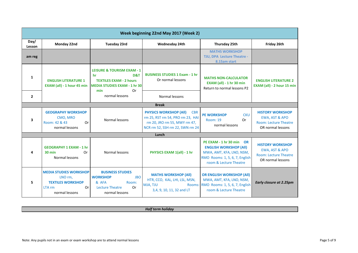| Week beginning 22nd May 2017 (Week 2) |                                                                                                               |                                                                                                                              |                                                                                                                                                    |                                                                                                                                                   |                                                                                                |  |  |
|---------------------------------------|---------------------------------------------------------------------------------------------------------------|------------------------------------------------------------------------------------------------------------------------------|----------------------------------------------------------------------------------------------------------------------------------------------------|---------------------------------------------------------------------------------------------------------------------------------------------------|------------------------------------------------------------------------------------------------|--|--|
| Day/<br>Lesson                        | Monday 22nd                                                                                                   | <b>Tuesday 23rd</b>                                                                                                          | Wednesday 24th                                                                                                                                     | Thursday 25th                                                                                                                                     | Friday 26th                                                                                    |  |  |
| am reg                                |                                                                                                               |                                                                                                                              |                                                                                                                                                    | <b>MATHS WORKSHOP</b><br>TJU, DPA Lecture Theatre -<br>8.15am start                                                                               |                                                                                                |  |  |
| 1                                     | <b>ENGLISH LITERATURE 1</b><br>EXAM (all) - 1 hour 45 min                                                     | <b>LEISURE &amp; TOURISM EXAM - 1</b><br>D&T<br>hr<br><b>TEXTILES EXAM - 2 hours</b><br><b>MEDIA STUDIES EXAM - 1 hr 30</b>  | <b>BUSINESS STUDIES 1 Exam - 1 hr</b><br>Or normal lessons                                                                                         | <b>MATHS NON-CALCULATOR</b><br><b>EXAM (all) - 1 hr 30 min</b><br>Return to normal lessons P2                                                     | <b>ENGLISH LITERATURE 2</b><br>EXAM (all) - 2 hour 15 min                                      |  |  |
| $\overline{2}$                        |                                                                                                               | <b>Or</b><br>min<br>normal lessons                                                                                           | Normal lessons                                                                                                                                     |                                                                                                                                                   |                                                                                                |  |  |
|                                       | <b>Break</b>                                                                                                  |                                                                                                                              |                                                                                                                                                    |                                                                                                                                                   |                                                                                                |  |  |
| 3                                     | <b>GEOGRAPHY WORKSHOP</b><br>CMO, MRO<br>Room: 42 & 43<br>Or<br>normal lessons                                | Normal lessons                                                                                                               | <b>PHYSICS WORKSHOP (All)</b><br><b>CBR</b><br>rm 25, RST rm 54, PRO rm 23, HAI<br>rm 20, JRO rm 55, MWY rm 47,<br>NCR rm 52, SSH rm 22, SWN rm 24 | <b>PE WORKSHOP</b><br><b>CKU</b><br><b>Or</b><br>Room: 19<br>normal lessons                                                                       | <b>HISTORY WORKSHOP</b><br>EWA, AST & APO<br>Room: Lecture Theatre<br>OR normal lessons        |  |  |
|                                       |                                                                                                               |                                                                                                                              | Lunch                                                                                                                                              |                                                                                                                                                   |                                                                                                |  |  |
|                                       | <b>GEOGRAPHY 1 EXAM - 1 hr</b><br>$30 \text{ min}$<br>0r<br>Normal lessons                                    | Normal lessons                                                                                                               | PHYSICS EXAM 1(all) - 1 hr                                                                                                                         | PE EXAM - 1 hr 30 min OR<br><b>ENGLISH WORKSHOP (All)</b><br>MWA, AMT, KFA, LNO, NSM,<br>RMO Rooms: 1, 5, 6, 7, English<br>room & Lecture Theatre | <b>HISTORY WORKSHOP</b><br>EWA, AST & APO<br><b>Room: Lecture Theatre</b><br>OR normal lessons |  |  |
| 5.                                    | <b>MEDIA STUDIES WORKSHOP</b><br>LNO rm,<br><b>TEXTILES WORKSHOP</b><br>0r<br><b>LTA rm</b><br>normal lessons | <b>BUSINESS STUDIES</b><br><b>JBO</b><br><b>WORKSHOP</b><br>& AFA<br>Room:<br><b>Lecture Theatre</b><br>0r<br>normal lessons | <b>MATHS WORKSHOP (All)</b><br>HTR, CCO, KAL, LHI, LSL, MSN,<br>Rooms:<br>MJA, TJU<br>3,4, 9, 10, 11, 32 and LT                                    | <b>OR ENGLISH WORKSHOP (All)</b><br>MWA, AMT, KFA, LNO, NSM,<br>RMO Rooms: 1, 5, 6, 7, English<br>room & Lecture Theatre                          | <b>Early closure at 2.25pm</b>                                                                 |  |  |

*Half term holiday*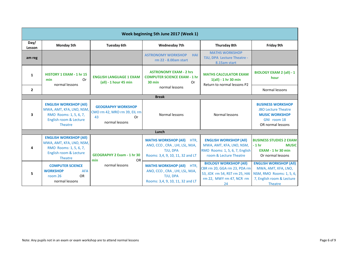| Week beginning 5th June 2017 (Week 1) |                                                                                                                                 |                                                                                         |                                                                                                                      |                                                                                                                                  |                                                                                                                          |
|---------------------------------------|---------------------------------------------------------------------------------------------------------------------------------|-----------------------------------------------------------------------------------------|----------------------------------------------------------------------------------------------------------------------|----------------------------------------------------------------------------------------------------------------------------------|--------------------------------------------------------------------------------------------------------------------------|
| Day/<br>Lesson                        | <b>Monday 5th</b>                                                                                                               | <b>Tuesday 6th</b>                                                                      | <b>Wednesday 7th</b>                                                                                                 | Thursday 8th                                                                                                                     | Friday 9th                                                                                                               |
| am reg                                |                                                                                                                                 |                                                                                         | <b>ASTRONOMY WORKSHOP</b><br><b>HAI</b><br>rm 22 - 8.00am start                                                      | <b>MATHS WORKSHOP</b><br>TJU, DPA Lecture Theatre -<br>8.15am start                                                              |                                                                                                                          |
| 1                                     | HISTORY 1 EXAM - 1 hr 15<br>min<br>Or<br>normal lessons                                                                         | <b>ENGLISH LANGUAGE 1 EXAM</b><br>(all) - 1 hour 45 min                                 | <b>ASTRONOMY EXAM - 2 hrs</b><br><b>COMPUTER SCIENCE EXAM - 1 hr</b><br>$30$ min<br>Or<br>normal lessons             | <b>MATHS CALCULATOR EXAM</b><br>$1(all) - 1 hr 30 min$<br>Return to normal lessons P2                                            | <b>BIOLOGY EXAM 2 (all) - 1</b><br>hour                                                                                  |
| $\overline{2}$                        |                                                                                                                                 |                                                                                         |                                                                                                                      |                                                                                                                                  | Normal lessons                                                                                                           |
|                                       |                                                                                                                                 |                                                                                         | <b>Break</b>                                                                                                         |                                                                                                                                  |                                                                                                                          |
| 3                                     | <b>ENGLISH WORKSHOP (All)</b><br>MWA, AMT, KFA, LNO, NSM,<br>RMO Rooms: 1, 5, 6, 7,<br>English room & Lecture<br><b>Theatre</b> | <b>GEOGRAPHY WORKSHOP</b><br>CMO rm 42, MRO rm 39, EIL rm<br>43<br>Or<br>normal lessons | Normal lessons                                                                                                       | Normal lessons                                                                                                                   | <b>BUSINESS WORKSHOP</b><br><b>JBO Lecture Theatre</b><br><b>MUSIC WORKSHOP</b><br>GNI room 18<br>OR normal lessons      |
|                                       |                                                                                                                                 |                                                                                         | Lunch                                                                                                                |                                                                                                                                  |                                                                                                                          |
| 4                                     | <b>ENGLISH WORKSHOP (All)</b><br>MWA, AMT, KFA, LNO, NSM,<br>RMO Rooms: 1, 5, 6, 7,<br>English room & Lecture<br>Theatre        | <b>GEOGRAPHY 2 Exam - 1 hr 30</b><br><b>OR</b><br>min                                   | <b>MATHS WORKSHOP (All)</b><br>HTR.<br>ANO, CCO, CRA, LHI, LSL, MJA,<br>TJU, DPA<br>Rooms: 3,4, 9, 10, 11, 32 and LT | <b>ENGLISH WORKSHOP (All)</b><br>MWA, AMT, KFA, LNO, NSM,<br>RMO Rooms: 1, 5, 6, 7, English<br>room & Lecture Theatre            | <b>BUSINESS STUDIES 2 EXAM</b><br>$-1hr$<br><b>MUSIC</b><br><b>EXAM - 1 hr 30 min</b><br>Or normal lessons               |
| 5                                     | <b>COMPUTER SCIENCE</b><br><b>WORKSHOP</b><br><b>AFA</b><br><b>OR</b><br>room 26<br>normal lessons                              | normal lessons                                                                          | <b>MATHS WORKSHOP (All) HTR.</b><br>ANO, CCO, CRA, LHI, LSL, MJA,<br>TJU, DPA<br>Rooms: 3,4, 9, 10, 11, 32 and LT    | <b>BIOLOGY WORKSHOP (All)</b><br>CBR rm 20, GGA rm 23, PDA rm<br>53, JOX rm 54, RST rm 25, HAI<br>rm 22, MWY rm 47, NCR rm<br>24 | <b>ENGLISH WORKSHOP (All)</b><br>MWA, AMT, KFA, LNO,<br>NSM, RMO Rooms: 1, 5, 6,<br>7, English room & Lecture<br>Theatre |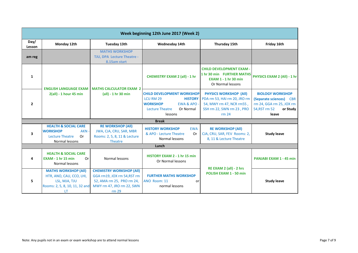| Week beginning 12th June 2017 (Week 2) |                                                                                                                  |                                                                                                                                   |                                                                                                                                                               |                                                                                                                                 |                                                                                                                                |  |  |
|----------------------------------------|------------------------------------------------------------------------------------------------------------------|-----------------------------------------------------------------------------------------------------------------------------------|---------------------------------------------------------------------------------------------------------------------------------------------------------------|---------------------------------------------------------------------------------------------------------------------------------|--------------------------------------------------------------------------------------------------------------------------------|--|--|
| Day/<br>Lesson                         | Monday 12th                                                                                                      | Tuesday 13th                                                                                                                      | Wednesday 14th                                                                                                                                                | Thursday 15th                                                                                                                   | Friday 16th                                                                                                                    |  |  |
| am reg                                 |                                                                                                                  | <b>MATHS WORKSHOP</b><br>TJU, DPA Lecture Theatre -<br>8.15am start                                                               |                                                                                                                                                               |                                                                                                                                 |                                                                                                                                |  |  |
| 1                                      | <b>ENGLISH LANGUAGE EXAM</b><br>2(all) - 1 hour 45 min                                                           | <b>MATHS CALCULATOR EXAM 2</b><br>(all) - 1 hr 30 min                                                                             | <b>CHEMISTRY EXAM 2 (all) - 1 hr</b>                                                                                                                          | <b>CHILD DEVELOPMENT EXAM -</b><br>1 hr 30 min FURTHER MATHS<br><b>EXAM 1 - 1 hr 30 min</b><br>Or Normal lessons                | PHYSICS EXAM 2 (All) - 1 hr                                                                                                    |  |  |
| $\overline{2}$                         |                                                                                                                  |                                                                                                                                   | <b>CHILD DEVELOPMENT WORKSHOP</b><br>LCU RM 29<br><b>HISTORY</b><br><b>WORKSHOP</b><br><b>EWA &amp; APO</b><br>Or Normal<br><b>Lecture Theatre</b><br>lessons | <b>PHYSICS WORKSHOP (All)</b><br>PDA rm 53, HAI rm 20, JRO rm<br>54, MWY rm 47, NCR rm55,<br>SSH rm 22, SWN rm 23, PRO<br>rm 24 | <b>BIOLOGY WORKSHOP</b><br>(Separate sciences)<br><b>CBR</b><br>rm 24, GGA rm 25, JOX rm<br>54, RST rm 52<br>or Study<br>leave |  |  |
|                                        | <b>Break</b>                                                                                                     |                                                                                                                                   |                                                                                                                                                               |                                                                                                                                 |                                                                                                                                |  |  |
| 3                                      | <b>HEALTH &amp; SOCIAL CARE</b><br><b>WORKSHOP</b><br>AKN -<br>0r<br><b>Lecture Theatre</b><br>Normal lessons    | <b>RE WORKSHOP (All)</b><br>JWA, CJA, CRU, SAR, MBR<br>Rooms: 2, 5, 8, 11 & Lecture<br><b>Theatre</b>                             | <b>HISTORY WORKSHOP</b><br><b>EWA</b><br>& APO - Lecture Theatre<br>Or<br>Normal lessons                                                                      | <b>RE WORKSHOP (All)</b><br>CJA, CRU, SAR, FEV Rooms: 2,<br>8, 11 & Lecture Theatre                                             | <b>Study leave</b>                                                                                                             |  |  |
|                                        |                                                                                                                  |                                                                                                                                   | Lunch                                                                                                                                                         |                                                                                                                                 |                                                                                                                                |  |  |
| 4                                      | <b>HEALTH &amp; SOCIAL CARE</b><br>$EXAMPLE 1$ hr 15 min<br>Or<br>Normal lessons                                 | Normal lessons                                                                                                                    | HISTORY EXAM 2 - 1 hr 15 min<br>Or Normal lessons                                                                                                             | RE EXAM 2 (all) - 2 hrs<br>POLISH EXAM 1 - 50 min                                                                               | <b>PANJABI EXAM 1 - 45 min</b>                                                                                                 |  |  |
| 5                                      | <b>MATHS WORKSHOP (All)</b><br>HTR, ANO, CAU, CCO, LHI,<br>LSL, MJA, TJU<br>Rooms: 2, 5, 8, 10, 11, 32 and<br>LT | <b>CHEMISTRY WORKSHOP (All)</b><br>GGA rm19, JOX rm 54, RST rm<br>52, AMA rm 25, PRO rm 24,<br>MWY rm 47, JRO rm 22, SWN<br>rm 29 | <b>FURTHER MATHS WORKSHOP</b><br>ANO Room: 11<br>or<br>normal lessons                                                                                         |                                                                                                                                 | <b>Study leave</b>                                                                                                             |  |  |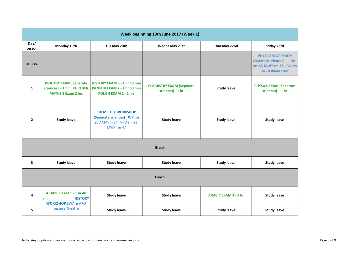| Week beginning 19th June 2017 (Week 1) |                                                                                          |                                                                                                   |                                                     |                             |                                                                                                               |  |
|----------------------------------------|------------------------------------------------------------------------------------------|---------------------------------------------------------------------------------------------------|-----------------------------------------------------|-----------------------------|---------------------------------------------------------------------------------------------------------------|--|
| Day/<br>Lesson                         | Monday 19th                                                                              | <b>Tuesday 20th</b>                                                                               | <b>Wednesday 21st</b>                               | <b>Thursday 22nd</b>        | Friday 23rd                                                                                                   |  |
| am reg                                 |                                                                                          |                                                                                                   |                                                     |                             | <b>PHYSICS WORKSHOP</b><br>(Separate sciences)<br><b>HAI</b><br>rm 22, MWY rm 23, JRO rm<br>24 - 8.00am start |  |
| $\mathbf{1}$                           | <b>BIOLOGY EXAM (Separate</b><br>sciences) - 1 hr FURTHER<br><b>MATHS 2 Exam 2 hrs</b>   | HISTORY EXAM 3 - 1 hr 15 min<br>PANJABI EXAM 2 - 1 hr 50 min<br><b>POLISH EXAM 2 - 2 hrs</b>      | <b>CHEMISTRY EXAM (Separate</b><br>sciences) - 1 hr | <b>Study leave</b>          | <b>PHYSICS EXAM (Separate</b><br>sciences) - 1 hr                                                             |  |
| $\overline{2}$                         | <b>Study leave</b>                                                                       | <b>CHEMISTRY WORKSHOP</b><br>(Separate sciences) JOX rm<br>20, AMA rm 24, PRO rm 23,<br>MWY rm 47 | <b>Study leave</b>                                  | <b>Study leave</b>          | <b>Study leave</b>                                                                                            |  |
| <b>Break</b>                           |                                                                                          |                                                                                                   |                                                     |                             |                                                                                                               |  |
| 3                                      | <b>Study leave</b>                                                                       | <b>Study leave</b>                                                                                | <b>Study leave</b>                                  | <b>Study leave</b>          | <b>Study leave</b>                                                                                            |  |
| Lunch                                  |                                                                                          |                                                                                                   |                                                     |                             |                                                                                                               |  |
| 4                                      | <b>ARABIC EXAM 1 - 1 hr 40</b><br><b>HISTORY</b><br>min<br><b>WORKSHOP EWA &amp; APO</b> | <b>Study leave</b>                                                                                | <b>Study leave</b>                                  | <b>ARABIC EXAM 2 - 1 hr</b> | <b>Study leave</b>                                                                                            |  |
| 5                                      | <b>Lecture Theatre</b>                                                                   | <b>Study leave</b>                                                                                | <b>Study leave</b>                                  | <b>Study leave</b>          | <b>Study leave</b>                                                                                            |  |